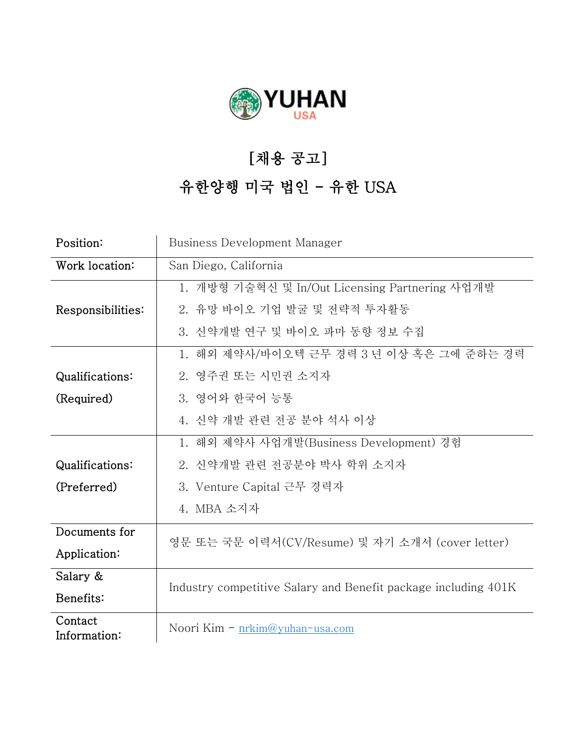

## [채용 공고]

## 유한양행 미국 법인 - 유한 USA

| Position:               | Business Development Manager                                   |
|-------------------------|----------------------------------------------------------------|
| Work location:          | San Diego, California                                          |
|                         | 1. 개방형 기술혁신 및 In/Out Licensing Partnering 사업개발                 |
| Responsibilities:       | 2. 유망 바이오 기업 발굴 및 전략적 투자활동                                     |
|                         | 3. 신약개발 연구 및 바이오 파마 동향 정보 수집                                   |
|                         | 1. 해외 제약사/바이오텍 근무 경력 3 년 이상 혹은 그에 준하는 경력                       |
| Qualifications:         | 2. 영주권 또는 시민권 소지자                                              |
| (Required)              | 3. 영어와 한국어 능통                                                  |
|                         | 4. 신약 개발 관련 전공 분야 석사 이상                                        |
|                         | 1. 해외 제약사 사업개발(Business Development) 경험                        |
| Qualifications:         | 2. 신약개발 관련 전공분야 박사 학위 소지자                                      |
| (Preferred)             | 3. Venture Capital 근무 경력자                                      |
|                         | 4. MBA 소지자                                                     |
| Documents for           | 영문 또는 국문 이력서(CV/Resume) 및 자기 소개서 (cover letter)                |
| Application:            |                                                                |
| Salary &                | Industry competitive Salary and Benefit package including 401K |
| Benefits:               |                                                                |
| Contact<br>Information: | Noori Kim $-$ nrkim@yuhan-usa.com                              |